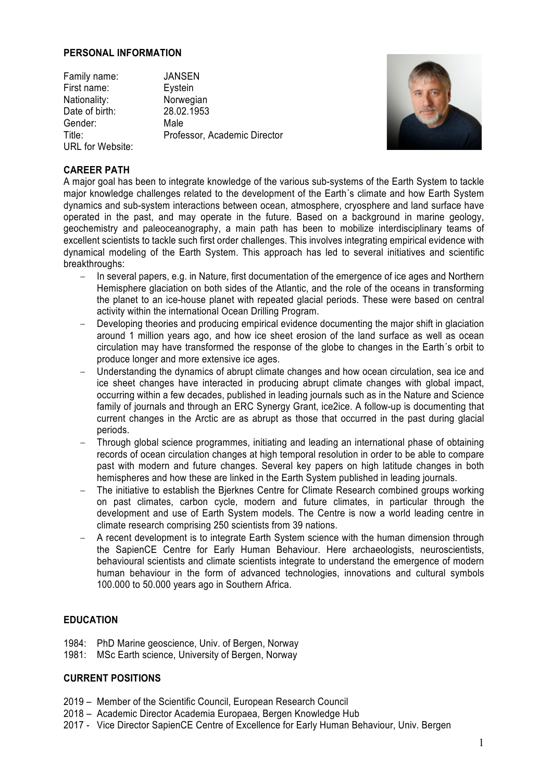#### **PERSONAL INFORMATION**

Family name: JANSEN First name: Eystein Nationality: Norwegian Date of birth: 28.02.1953 Gender: Male Title: Professor, Academic Director URL for Website:



# **CAREER PATH**

A major goal has been to integrate knowledge of the various sub-systems of the Earth System to tackle major knowledge challenges related to the development of the Earth´s climate and how Earth System dynamics and sub-system interactions between ocean, atmosphere, cryosphere and land surface have operated in the past, and may operate in the future. Based on a background in marine geology, geochemistry and paleoceanography, a main path has been to mobilize interdisciplinary teams of excellent scientists to tackle such first order challenges. This involves integrating empirical evidence with dynamical modeling of the Earth System. This approach has led to several initiatives and scientific breakthroughs:

- In several papers, e.g. in Nature, first documentation of the emergence of ice ages and Northern Hemisphere glaciation on both sides of the Atlantic, and the role of the oceans in transforming the planet to an ice-house planet with repeated glacial periods. These were based on central activity within the international Ocean Drilling Program.
- Developing theories and producing empirical evidence documenting the major shift in glaciation around 1 million years ago, and how ice sheet erosion of the land surface as well as ocean circulation may have transformed the response of the globe to changes in the Earth´s orbit to produce longer and more extensive ice ages.
- Understanding the dynamics of abrupt climate changes and how ocean circulation, sea ice and ice sheet changes have interacted in producing abrupt climate changes with global impact, occurring within a few decades, published in leading journals such as in the Nature and Science family of journals and through an ERC Synergy Grant, ice2ice. A follow-up is documenting that current changes in the Arctic are as abrupt as those that occurred in the past during glacial periods.
- Through global science programmes, initiating and leading an international phase of obtaining records of ocean circulation changes at high temporal resolution in order to be able to compare past with modern and future changes. Several key papers on high latitude changes in both hemispheres and how these are linked in the Earth System published in leading journals.
- The initiative to establish the Bjerknes Centre for Climate Research combined groups working on past climates, carbon cycle, modern and future climates, in particular through the development and use of Earth System models. The Centre is now a world leading centre in climate research comprising 250 scientists from 39 nations.
- A recent development is to integrate Earth System science with the human dimension through the SapienCE Centre for Early Human Behaviour. Here archaeologists, neuroscientists, behavioural scientists and climate scientists integrate to understand the emergence of modern human behaviour in the form of advanced technologies, innovations and cultural symbols 100.000 to 50.000 years ago in Southern Africa.

# **EDUCATION**

- 1984: PhD Marine geoscience, Univ. of Bergen, Norway
- 1981: MSc Earth science, University of Bergen, Norway

### **CURRENT POSITIONS**

- 2019 Member of the Scientific Council, European Research Council
- 2018 Academic Director Academia Europaea, Bergen Knowledge Hub
- 2017 Vice Director SapienCE Centre of Excellence for Early Human Behaviour, Univ. Bergen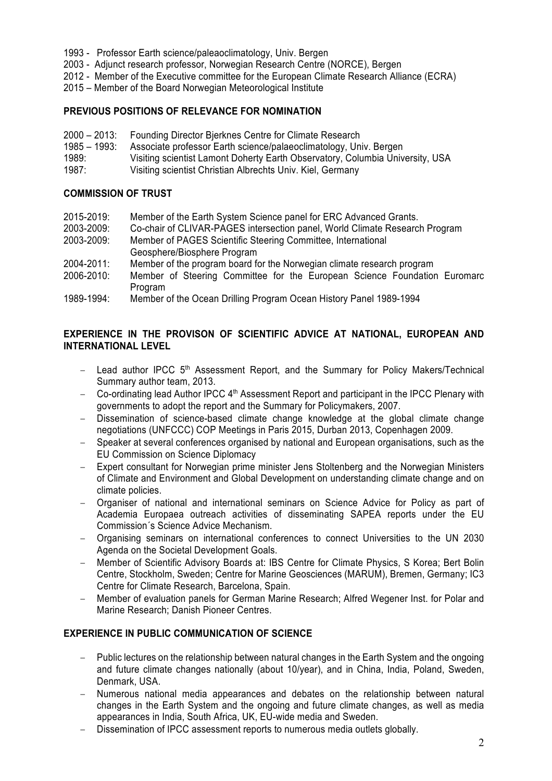- 1993 Professor Earth science/paleaoclimatology, Univ. Bergen
- 2003 Adjunct research professor, Norwegian Research Centre (NORCE), Bergen
- 2012 Member of the Executive committee for the European Climate Research Alliance (ECRA)
- 2015 Member of the Board Norwegian Meteorological Institute

### **PREVIOUS POSITIONS OF RELEVANCE FOR NOMINATION**

- 2000 2013: Founding Director Bjerknes Centre for Climate Research
- 1985 1993: Associate professor Earth science/palaeoclimatology, Univ. Bergen
- 1989: Visiting scientist Lamont Doherty Earth Observatory, Columbia University, USA
- 1987: Visiting scientist Christian Albrechts Univ. Kiel, Germany

#### **COMMISSION OF TRUST**

- 2015-2019: Member of the Earth System Science panel for ERC Advanced Grants.
- 2003-2009: Co-chair of CLIVAR-PAGES intersection panel, World Climate Research Program
- 2003-2009: Member of PAGES Scientific Steering Committee, International Geosphere/Biosphere Program
- 2004-2011: Member of the program board for the Norwegian climate research program
- 2006-2010: Member of Steering Committee for the European Science Foundation Euromarc Program
- 1989-1994: Member of the Ocean Drilling Program Ocean History Panel 1989-1994

# **EXPERIENCE IN THE PROVISON OF SCIENTIFIC ADVICE AT NATIONAL, EUROPEAN AND INTERNATIONAL LEVEL**

- $-$  Lead author IPCC  $5<sup>th</sup>$  Assessment Report, and the Summary for Policy Makers/Technical Summary author team, 2013.
- Co-ordinating lead Author IPCC 4<sup>th</sup> Assessment Report and participant in the IPCC Plenary with governments to adopt the report and the Summary for Policymakers, 2007.
- Dissemination of science-based climate change knowledge at the global climate change negotiations (UNFCCC) COP Meetings in Paris 2015, Durban 2013, Copenhagen 2009.
- Speaker at several conferences organised by national and European organisations, such as the EU Commission on Science Diplomacy
- Expert consultant for Norwegian prime minister Jens Stoltenberg and the Norwegian Ministers of Climate and Environment and Global Development on understanding climate change and on climate policies.
- Organiser of national and international seminars on Science Advice for Policy as part of Academia Europaea outreach activities of disseminating SAPEA reports under the EU Commission´s Science Advice Mechanism.
- Organising seminars on international conferences to connect Universities to the UN 2030 Agenda on the Societal Development Goals.
- Member of Scientific Advisory Boards at: IBS Centre for Climate Physics, S Korea; Bert Bolin Centre, Stockholm, Sweden; Centre for Marine Geosciences (MARUM), Bremen, Germany; IC3 Centre for Climate Research, Barcelona, Spain.
- Member of evaluation panels for German Marine Research; Alfred Wegener Inst. for Polar and Marine Research; Danish Pioneer Centres.

### **EXPERIENCE IN PUBLIC COMMUNICATION OF SCIENCE**

- Public lectures on the relationship between natural changes in the Earth System and the ongoing and future climate changes nationally (about 10/year), and in China, India, Poland, Sweden, Denmark, USA.
- Numerous national media appearances and debates on the relationship between natural changes in the Earth System and the ongoing and future climate changes, as well as media appearances in India, South Africa, UK, EU-wide media and Sweden.
- Dissemination of IPCC assessment reports to numerous media outlets globally.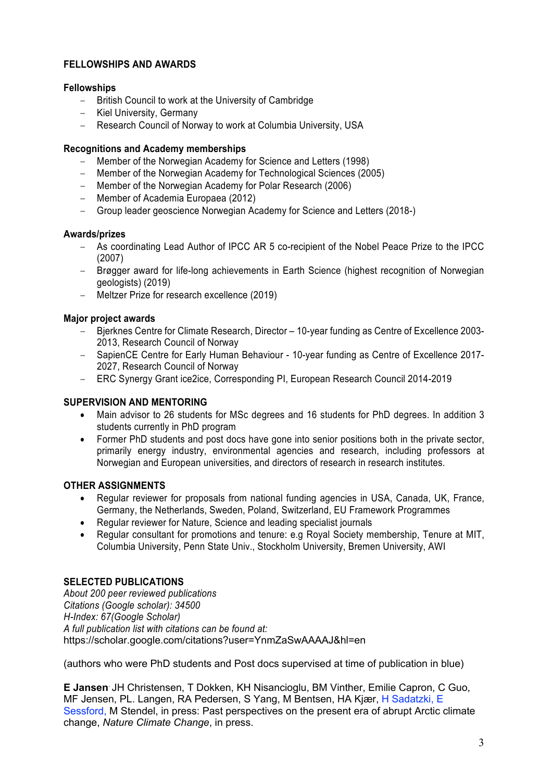# **FELLOWSHIPS AND AWARDS**

### **Fellowships**

- British Council to work at the University of Cambridge
- Kiel University, Germany
- Research Council of Norway to work at Columbia University, USA

### **Recognitions and Academy memberships**

- Member of the Norwegian Academy for Science and Letters (1998)
- Member of the Norwegian Academy for Technological Sciences (2005)
- Member of the Norwegian Academy for Polar Research (2006)
- Member of Academia Europaea (2012)
- Group leader geoscience Norwegian Academy for Science and Letters (2018-)

### **Awards/prizes**

- As coordinating Lead Author of IPCC AR 5 co-recipient of the Nobel Peace Prize to the IPCC (2007)
- Brøgger award for life-long achievements in Earth Science (highest recognition of Norwegian geologists) (2019)
- Meltzer Prize for research excellence (2019)

### **Major project awards**

- Bjerknes Centre for Climate Research, Director 10-year funding as Centre of Excellence 2003- 2013, Research Council of Norway
- SapienCE Centre for Early Human Behaviour 10-year funding as Centre of Excellence 2017- 2027, Research Council of Norway
- ERC Synergy Grant ice2ice, Corresponding PI, European Research Council 2014-2019

### **SUPERVISION AND MENTORING**

- Main advisor to 26 students for MSc degrees and 16 students for PhD degrees. In addition 3 students currently in PhD program
- Former PhD students and post docs have gone into senior positions both in the private sector, primarily energy industry, environmental agencies and research, including professors at Norwegian and European universities, and directors of research in research institutes.

# **OTHER ASSIGNMENTS**

- Regular reviewer for proposals from national funding agencies in USA, Canada, UK, France, Germany, the Netherlands, Sweden, Poland, Switzerland, EU Framework Programmes
- Regular reviewer for Nature, Science and leading specialist journals
- Regular consultant for promotions and tenure: e.g Royal Society membership, Tenure at MIT, Columbia University, Penn State Univ., Stockholm University, Bremen University, AWI

### **SELECTED PUBLICATIONS**

*About 200 peer reviewed publications Citations (Google scholar): 34500 H-Index: 67(Google Scholar) A full publication list with citations can be found at:* https://scholar.google.com/citations?user=YnmZaSwAAAAJ&hl=en

(authors who were PhD students and Post docs supervised at time of publication in blue)

**E Jansen**. JH Christensen, T Dokken, KH Nisancioglu, BM Vinther, Emilie Capron, C Guo, MF Jensen, PL. Langen, RA Pedersen, S Yang, M Bentsen, HA Kjær, H Sadatzki, E Sessford, M Stendel, in press: Past perspectives on the present era of abrupt Arctic climate change, *Nature Climate Change*, in press.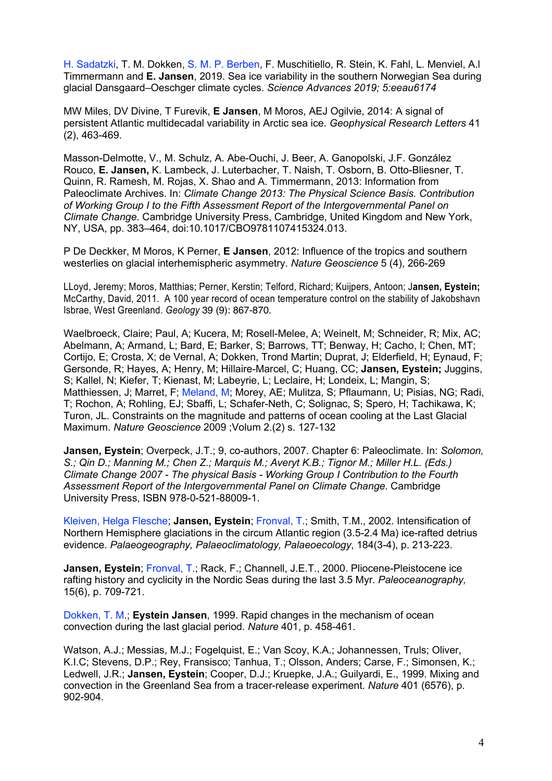H. Sadatzki, T. M. Dokken, S. M. P. Berben, F. Muschitiello, R. Stein, K. Fahl, L. Menviel, A.l Timmermann and **E. Jansen**, 2019. Sea ice variability in the southern Norwegian Sea during glacial Dansgaard–Oeschger climate cycles. *Science Advances 2019; 5:eeau6174*

MW Miles, DV Divine, T Furevik, **E Jansen**, M Moros, AEJ Ogilvie, 2014: A signal of persistent Atlantic multidecadal variability in Arctic sea ice. *Geophysical Research Letters* 41 (2), 463-469.

Masson-Delmotte, V., M. Schulz, A. Abe-Ouchi, J. Beer, A. Ganopolski, J.F. González Rouco, **E. Jansen,** K. Lambeck, J. Luterbacher, T. Naish, T. Osborn, B. Otto-Bliesner, T. Quinn, R. Ramesh, M. Rojas, X. Shao and A. Timmermann, 2013: Information from Paleoclimate Archives. In: *Climate Change 2013: The Physical Science Basis. Contribution of Working Group I to the Fifth Assessment Report of the Intergovernmental Panel on Climate Change*. Cambridge University Press, Cambridge, United Kingdom and New York, NY, USA, pp. 383–464, doi:10.1017/CBO9781107415324.013.

P De Deckker, M Moros, K Perner, **E Jansen**, 2012: Influence of the tropics and southern westerlies on glacial interhemispheric asymmetry. *Nature Geoscience* 5 (4), 266-269

LLoyd, Jeremy; Moros, Matthias; Perner, Kerstin; Telford, Richard; Kuijpers, Antoon; J**ansen, Eystein;**  McCarthy, David, 2011. A 100 year record of ocean temperature control on the stability of Jakobshavn Isbrae, West Greenland. *Geology* 39 (9): 867-870.

Waelbroeck, Claire; Paul, A; Kucera, M; Rosell-Melee, A; Weinelt, M; Schneider, R; Mix, AC; Abelmann, A; Armand, L; Bard, E; Barker, S; Barrows, TT; Benway, H; Cacho, I; Chen, MT; Cortijo, E; Crosta, X; de Vernal, A; Dokken, Trond Martin; Duprat, J; Elderfield, H; Eynaud, F; Gersonde, R; Hayes, A; Henry, M; Hillaire-Marcel, C; Huang, CC; **Jansen, Eystein;** Juggins, S; Kallel, N; Kiefer, T; Kienast, M; Labeyrie, L; Leclaire, H; Londeix, L; Mangin, S; Matthiessen, J; Marret, F; Meland, M; Morey, AE; Mulitza, S; Pflaumann, U; Pisias, NG; Radi, T; Rochon, A; Rohling, EJ; Sbaffi, L; Schafer-Neth, C; Solignac, S; Spero, H; Tachikawa, K; Turon, JL. Constraints on the magnitude and patterns of ocean cooling at the Last Glacial Maximum. *Nature Geoscience* 2009 ;Volum 2.(2) s. 127-132

**Jansen, Eystein**; Overpeck, J.T.; 9, co-authors, 2007. Chapter 6: Paleoclimate. In: *Solomon, S.; Qin D.; Manning M.; Chen Z.; Marquis M.; Averyt K.B.; Tignor M.; Miller H.L. (Eds.) Climate Change 2007 - The physical Basis - Working Group I Contribution to the Fourth Assessment Report of the Intergovernmental Panel on Climate Change.* Cambridge University Press, ISBN 978-0-521-88009-1.

Kleiven, Helga Flesche; **Jansen, Eystein**; Fronval, T.; Smith, T.M., 2002. Intensification of Northern Hemisphere glaciations in the circum Atlantic region (3.5-2.4 Ma) ice-rafted detrius evidence. *Palaeogeography, Palaeoclimatology, Palaeoecology*, 184(3-4), p. 213-223.

**Jansen, Eystein**; Fronval, T.; Rack, F.; Channell, J.E.T., 2000. Pliocene-Pleistocene ice rafting history and cyclicity in the Nordic Seas during the last 3.5 Myr. *Paleoceanography,*  15(6), p. 709-721.

Dokken, T. M.; **Eystein Jansen**, 1999. Rapid changes in the mechanism of ocean convection during the last glacial period. *Nature* 401, p. 458-461.

Watson, A.J.; Messias, M.J.; Fogelquist, E.; Van Scoy, K.A.; Johannessen, Truls; Oliver, K.I.C; Stevens, D.P.; Rey, Fransisco; Tanhua, T.; Olsson, Anders; Carse, F.; Simonsen, K.; Ledwell, J.R.; **Jansen, Eystein**; Cooper, D.J.; Kruepke, J.A.; Guilyardi, E., 1999. Mixing and convection in the Greenland Sea from a tracer-release experiment. *Nature* 401 (6576), p. 902-904.